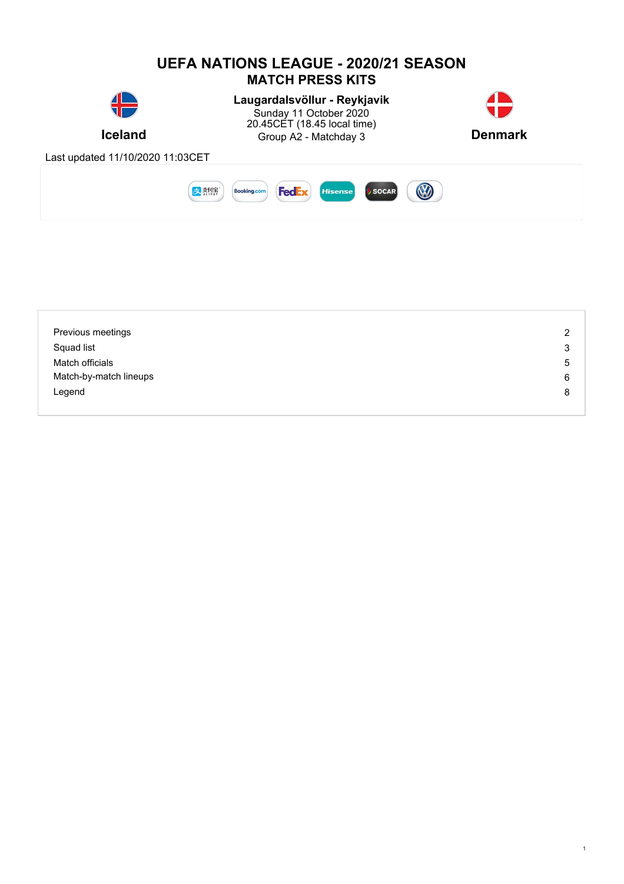

| Previous meetings      | $\overline{2}$ |
|------------------------|----------------|
| Squad list             | 3              |
| Match officials        | 5              |
| Match-by-match lineups | 6              |
| Legend                 | 8              |
|                        |                |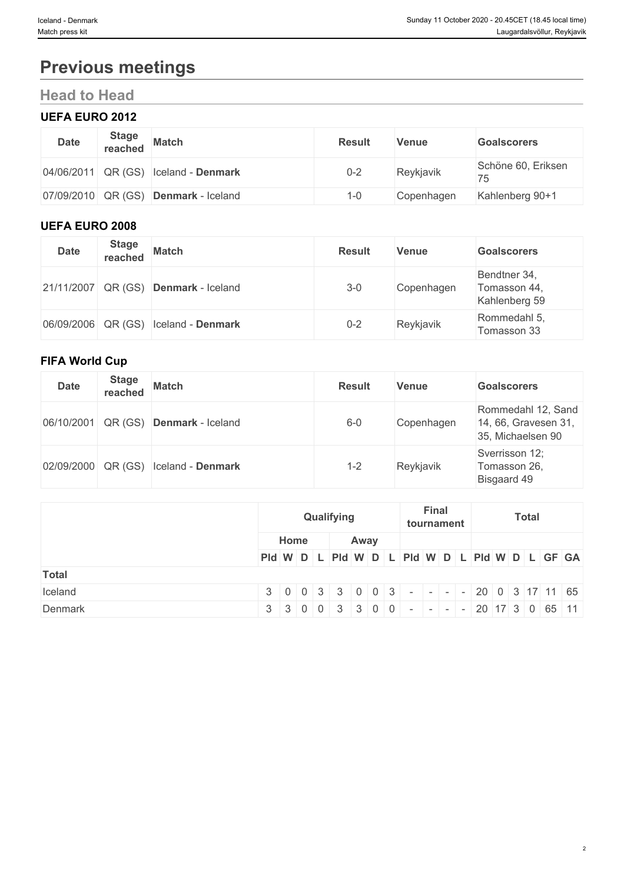# **Previous meetings**

# **Head to Head**

## **UEFA EURO 2012**

| <b>Date</b>            | <b>Stage</b><br>reached | <b>Match</b>                         | <b>Result</b> | Venue      | <b>Goalscorers</b>       |
|------------------------|-------------------------|--------------------------------------|---------------|------------|--------------------------|
|                        |                         | 04/06/2011 QR (GS) Iceland - Denmark | $0 - 2$       | Reykjavik  | Schöne 60, Eriksen<br>75 |
| $ 07/09/2010 $ QR (GS) |                         | Denmark - Iceland                    | $1 - \Omega$  | Copenhagen | Kahlenberg 90+1          |

### **UEFA EURO 2008**

| <b>Date</b> | <b>Stage</b> | reached Match                                 | <b>Result</b> | <b>Venue</b> | <b>Goalscorers</b>                            |
|-------------|--------------|-----------------------------------------------|---------------|--------------|-----------------------------------------------|
|             |              | $21/11/2007$ QR (GS) <b>Denmark</b> - Iceland | $3 - 0$       | Copenhagen   | Bendtner 34,<br>Tomasson 44,<br>Kahlenberg 59 |
|             |              | 06/09/2006 QR (GS) Iceland - Denmark          | $0 - 2$       | Reykjavik    | Rommedahl 5,<br>Tomasson 33                   |

### **FIFA World Cup**

| <b>Date</b> | <b>Stage</b><br>reached | <b>Match</b>              | <b>Result</b> | Venue      | <b>Goalscorers</b>                                              |
|-------------|-------------------------|---------------------------|---------------|------------|-----------------------------------------------------------------|
| 06/10/2001  | QR (GS)                 | Denmark - Iceland         | $6-0$         | Copenhagen | Rommedahl 12, Sand<br>14, 66, Gravesen 31,<br>35, Michaelsen 90 |
| 02/09/2000  |                         | QR (GS) Iceland - Denmark | 1-2           | Reykjavik  | Sverrisson 12;<br>Tomasson 26,<br>Bisgaard 49                   |

|              | Qualifying |      | <b>Final</b><br><b>Total</b><br>tournament                                                                                          |  |  |  |  |  |
|--------------|------------|------|-------------------------------------------------------------------------------------------------------------------------------------|--|--|--|--|--|
|              | Home       | Away |                                                                                                                                     |  |  |  |  |  |
|              |            |      | PId W D L PId W D L PId W D L PId W D L PId W D L GF GA                                                                             |  |  |  |  |  |
| <b>Total</b> |            |      |                                                                                                                                     |  |  |  |  |  |
| Iceland      |            |      | $3 \mid 0 \mid 0 \mid 3 \mid 3 \mid 0 \mid 0 \mid 3 \mid - \mid - \mid - \mid - \mid 20 \mid 0 \mid 3 \mid 17 \mid 11 \mid 65 \mid$ |  |  |  |  |  |
| Denmark      |            |      | $3 \mid 3 \mid 0 \mid 0 \mid 3 \mid 3 \mid 0 \mid 0 \mid - \mid - \mid - \mid - \mid 20 \mid 17 \mid 3 \mid 0 \mid 65 \mid 11 \mid$ |  |  |  |  |  |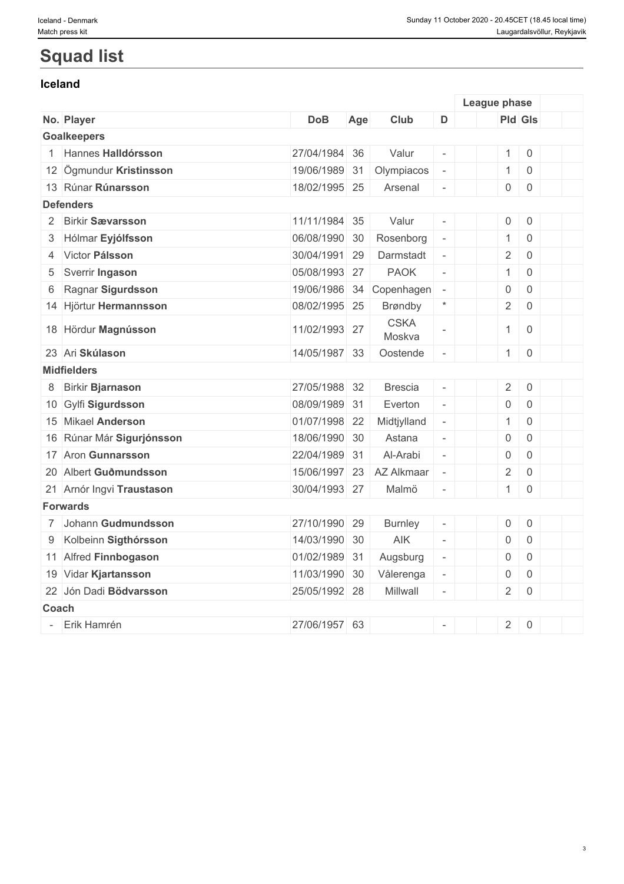# **Squad list**

### **Iceland**

|       |                           |               |     |                       |                          | League phase        |                     |  |
|-------|---------------------------|---------------|-----|-----------------------|--------------------------|---------------------|---------------------|--|
|       | No. Player                | <b>DoB</b>    | Age | Club                  | D                        | <b>Pld Gls</b>      |                     |  |
|       | <b>Goalkeepers</b>        |               |     |                       |                          |                     |                     |  |
|       | 1 Hannes Halldórsson      | 27/04/1984 36 |     | Valur                 |                          | $\mathbf{1}$        | $\mathbf 0$         |  |
|       | 12 Ögmundur Kristinsson   | 19/06/1989 31 |     | Olympiacos            | $\bar{\phantom{a}}$      | $\mathbf{1}$        | $\mathbf 0$         |  |
|       | 13 Rúnar Rúnarsson        | 18/02/1995 25 |     | Arsenal               | $\overline{\phantom{a}}$ | $\mathsf{O}\xspace$ | $\overline{0}$      |  |
|       | <b>Defenders</b>          |               |     |                       |                          |                     |                     |  |
|       | 2 Birkir Sævarsson        | 11/11/1984 35 |     | Valur                 | $\omega$                 | $\mathsf{O}$        | $\,0\,$             |  |
| 3     | Hólmar Eyjólfsson         | 06/08/1990 30 |     | Rosenborg             | $\overline{\phantom{a}}$ | $\mathbf{1}$        | $\overline{0}$      |  |
| 4     | Victor Pálsson            | 30/04/1991 29 |     | Darmstadt             | $\equiv$                 | $\overline{2}$      | $\mathbf 0$         |  |
| 5     | Sverrir Ingason           | 05/08/1993 27 |     | <b>PAOK</b>           | $\equiv$                 | $\mathbf{1}$        | $\overline{0}$      |  |
| 6     | Ragnar Sigurdsson         | 19/06/1986 34 |     | Copenhagen            | $\overline{\phantom{a}}$ | $\mathbf 0$         | $\overline{0}$      |  |
|       | 14 Hjörtur Hermannsson    | 08/02/1995 25 |     | <b>Brøndby</b>        | $\star$                  | $\overline{2}$      | $\overline{0}$      |  |
|       | 18 Hördur Magnússon       | 11/02/1993 27 |     | <b>CSKA</b><br>Moskva |                          | $\mathbf{1}$        | $\overline{0}$      |  |
|       | 23 Ari Skúlason           | 14/05/1987 33 |     | Oostende              |                          | 1                   | $\mathbf 0$         |  |
|       | <b>Midfielders</b>        |               |     |                       |                          |                     |                     |  |
|       | 8 Birkir Bjarnason        | 27/05/1988 32 |     | <b>Brescia</b>        | $\omega$                 | $\overline{2}$      | $\,0\,$             |  |
|       | 10 Gylfi Sigurdsson       | 08/09/1989 31 |     | Everton               | $\omega$                 | $\mathsf{O}\xspace$ | $\mathbf 0$         |  |
|       | 15 Mikael Anderson        | 01/07/1998 22 |     | Midtjylland           | $\equiv$                 | $\mathbf{1}$        | $\overline{0}$      |  |
|       | 16 Rúnar Már Sigurjónsson | 18/06/1990 30 |     | Astana                | $\overline{\phantom{a}}$ | $\mathbf 0$         | $\overline{0}$      |  |
|       | 17 Aron Gunnarsson        | 22/04/1989 31 |     | Al-Arabi              | $\overline{a}$           | $\mathsf 0$         | $\mathbf 0$         |  |
|       | 20 Albert Guðmundsson     | 15/06/1997 23 |     | AZ Alkmaar            | $\bar{a}$                | $\overline{2}$      | $\mathbf 0$         |  |
|       | 21 Arnór Ingvi Traustason | 30/04/1993 27 |     | Malmö                 |                          | $\mathbf{1}$        | $\mathbf 0$         |  |
|       | <b>Forwards</b>           |               |     |                       |                          |                     |                     |  |
|       | 7 Johann Gudmundsson      | 27/10/1990 29 |     | <b>Burnley</b>        | $\overline{\phantom{a}}$ | $\mathsf{O}\xspace$ | $\mathbf 0$         |  |
| 9     | Kolbeinn Sigthórsson      | 14/03/1990 30 |     | AIK                   | $\equiv$                 | $\mathsf{O}\xspace$ | $\mathbf 0$         |  |
|       | 11 Alfred Finnbogason     | 01/02/1989 31 |     | Augsburg              | $\equiv$                 | 0                   | $\overline{0}$      |  |
|       | 19 Vidar Kjartansson      | 11/03/1990 30 |     | Vålerenga             | $\overline{\phantom{a}}$ | $\mathsf{O}\xspace$ | $\mathbf 0$         |  |
|       | 22 Jón Dadi Bödvarsson    | 25/05/1992 28 |     | Millwall              | $\bar{a}$                | $\overline{2}$      | $\mathsf{O}\xspace$ |  |
| Coach |                           |               |     |                       |                          |                     |                     |  |
|       | Erik Hamrén               | 27/06/1957 63 |     |                       |                          | $\overline{2}$      | $\mathbf 0$         |  |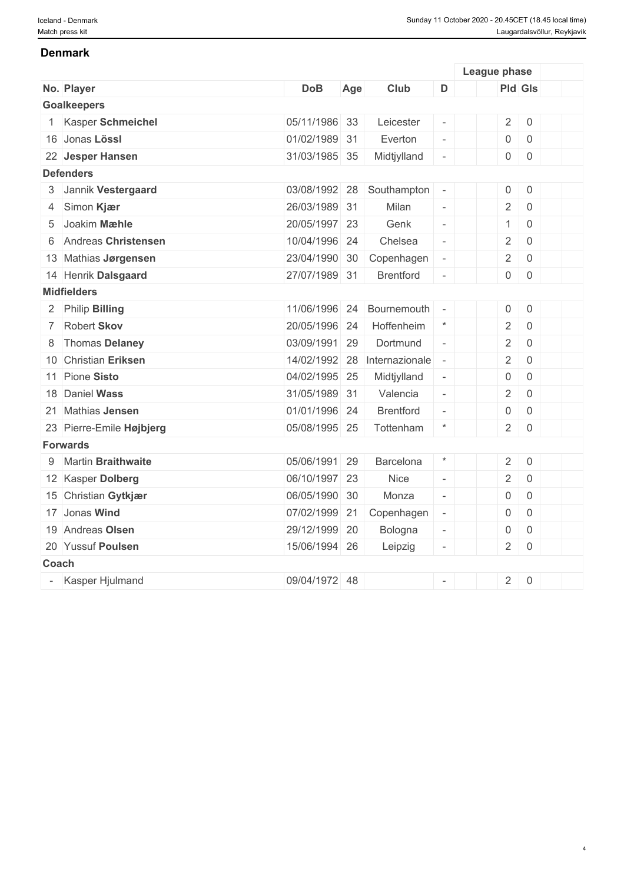#### **Denmark**

|       |                          |               |     |                  |                          | League phase        |                     |  |
|-------|--------------------------|---------------|-----|------------------|--------------------------|---------------------|---------------------|--|
|       | No. Player               | <b>DoB</b>    | Age | Club             | D                        | <b>Pld Gls</b>      |                     |  |
|       | <b>Goalkeepers</b>       |               |     |                  |                          |                     |                     |  |
|       | Kasper Schmeichel        | 05/11/1986 33 |     | Leicester        | $\overline{\phantom{a}}$ | $\overline{2}$      | $\mathsf{O}\xspace$ |  |
|       | 16 Jonas Lössl           | 01/02/1989 31 |     | Everton          | $\frac{1}{2}$            | 0                   | $\mathsf 0$         |  |
|       | 22 Jesper Hansen         | 31/03/1985 35 |     | Midtjylland      | $\overline{\phantom{a}}$ | $\mathsf{O}\xspace$ | $\mathbf 0$         |  |
|       | <b>Defenders</b>         |               |     |                  |                          |                     |                     |  |
|       | 3 Jannik Vestergaard     | 03/08/1992 28 |     | Southampton      | $\sim$                   | $\mathsf{O}\xspace$ | $\mathbf 0$         |  |
|       | 4 Simon Kjær             | 26/03/1989 31 |     | Milan            | $\equiv$                 | $\overline{2}$      | $\mathsf{O}\xspace$ |  |
| 5     | Joakim Mæhle             | 20/05/1997 23 |     | Genk             | $\equiv$                 | $\mathbf{1}$        | $\mathbf 0$         |  |
|       | 6 Andreas Christensen    | 10/04/1996 24 |     | Chelsea          | $\equiv$                 | $\overline{2}$      | $\mathsf{O}\xspace$ |  |
|       | 13 Mathias Jørgensen     | 23/04/1990 30 |     | Copenhagen       | $\overline{\phantom{a}}$ | $\sqrt{2}$          | $\mathsf{O}\xspace$ |  |
|       | 14 Henrik Dalsgaard      | 27/07/1989 31 |     | <b>Brentford</b> | $\overline{\phantom{a}}$ | $\mathsf{O}\xspace$ | $\mathbf 0$         |  |
|       | <b>Midfielders</b>       |               |     |                  |                          |                     |                     |  |
|       | 2 Philip Billing         | 11/06/1996    | 24  | Bournemouth      | $\sim$                   | $\mathsf{O}\xspace$ | $\mathbf 0$         |  |
|       | 7 Robert Skov            | 20/05/1996 24 |     | Hoffenheim       | $\star$                  | $\overline{2}$      | $\mathsf{O}\xspace$ |  |
|       | 8 Thomas Delaney         | 03/09/1991 29 |     | Dortmund         | $\bar{\phantom{a}}$      | $\overline{2}$      | $\mathbf 0$         |  |
|       | 10 Christian Eriksen     | 14/02/1992 28 |     | Internazionale   | $\sim$                   | $\overline{2}$      | $\mathsf{O}\xspace$ |  |
|       | 11 Pione Sisto           | 04/02/1995 25 |     | Midtjylland      | $\overline{\phantom{a}}$ | $\mathsf{O}\xspace$ | $\mathsf{O}$        |  |
|       | 18 Daniel Wass           | 31/05/1989 31 |     | Valencia         | $\equiv$                 | $\sqrt{2}$          | $\mathsf{O}\xspace$ |  |
|       | 21 Mathias Jensen        | 01/01/1996 24 |     | <b>Brentford</b> | $\frac{1}{2}$            | $\mathsf{O}\xspace$ | $\mathsf{O}$        |  |
|       | 23 Pierre-Emile Højbjerg | 05/08/1995 25 |     | Tottenham        | $\star$                  | $\overline{2}$      | $\mathsf{O}$        |  |
|       | <b>Forwards</b>          |               |     |                  |                          |                     |                     |  |
|       | 9 Martin Braithwaite     | 05/06/1991 29 |     | Barcelona        | $\star$                  | $\overline{2}$      | $\mathbf 0$         |  |
|       | 12 Kasper Dolberg        | 06/10/1997 23 |     | <b>Nice</b>      | $\overline{\phantom{a}}$ | $\overline{2}$      | $\mathbf 0$         |  |
|       | 15 Christian Gytkjær     | 06/05/1990 30 |     | Monza            | $\mathcal{L}^{\pm}$      | $\mathsf{O}\xspace$ | $\mathsf{O}$        |  |
|       | 17 Jonas Wind            | 07/02/1999    | 21  | Copenhagen       | $\overline{\phantom{a}}$ | $\mathsf{O}\xspace$ | $\mathsf{O}\xspace$ |  |
|       | 19 Andreas Olsen         | 29/12/1999 20 |     | Bologna          | $\overline{\phantom{a}}$ | $\mathsf{O}\xspace$ | $\mathsf{O}\xspace$ |  |
|       | 20 Yussuf Poulsen        | 15/06/1994 26 |     | Leipzig          | $\overline{\phantom{a}}$ | $\overline{2}$      | $\mathbf 0$         |  |
| Coach |                          |               |     |                  |                          |                     |                     |  |
|       | Kasper Hjulmand          | 09/04/1972 48 |     |                  | $\overline{\phantom{a}}$ | $\overline{2}$      | $\mathsf{O}$        |  |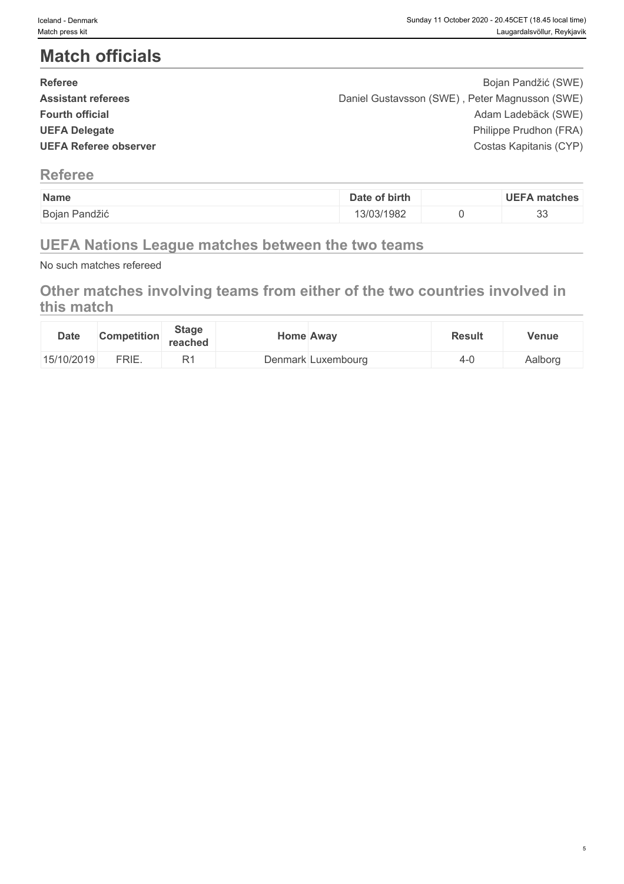# **Match officials**

| <b>Referee</b>               | Bojan Pandžić (SWE)                            |  |
|------------------------------|------------------------------------------------|--|
| <b>Assistant referees</b>    | Daniel Gustavsson (SWE), Peter Magnusson (SWE) |  |
| <b>Fourth official</b>       | Adam Ladebäck (SWE)                            |  |
| <b>UEFA Delegate</b>         | Philippe Prudhon (FRA)                         |  |
| <b>UEFA Referee observer</b> | Costas Kapitanis (CYP)                         |  |
|                              |                                                |  |

## **Referee**

| Name                    | of birth<br>Date | matches     |
|-------------------------|------------------|-------------|
| Pandžić<br><b>Bojan</b> | 13/03/1982       | $\sim$<br>ິ |

## **UEFA Nations League matches between the two teams**

No such matches refereed

## **Other matches involving teams from either of the two countries involved in this match**

| <b>Date</b> | <b>Competition</b> | <b>Stage</b><br>reached | <b>Home Away</b>   | <b>Result</b> | Venue   |
|-------------|--------------------|-------------------------|--------------------|---------------|---------|
| 15/10/2019  | FRIE.              | D.                      | Denmark Luxembourg |               | Aalborg |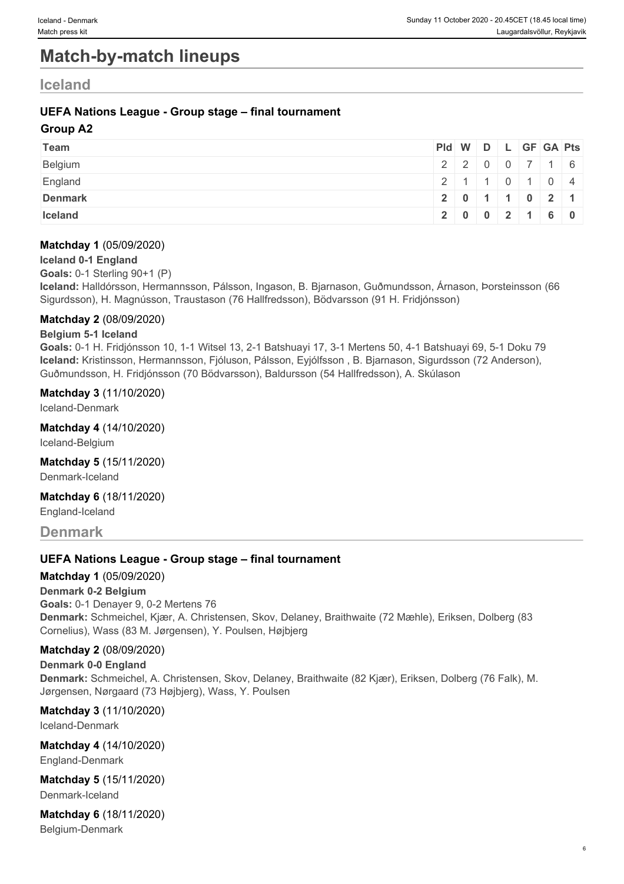# **Match-by-match lineups**

## **Iceland**

### **UEFA Nations League - Group stage – final tournament**

#### **Group A2**

| Team           | Pid W D L GF GA Pts |                           |  |  |  |
|----------------|---------------------|---------------------------|--|--|--|
| Belgium        |                     | 2200716                   |  |  |  |
| England        |                     | 2   1   1   0   1   0   4 |  |  |  |
| <b>Denmark</b> |                     | 2 0 1 1 0 2 1             |  |  |  |
| Iceland        |                     | 2 0 0 2 1 6 0             |  |  |  |

#### **Matchday 1** (05/09/2020)

#### **Iceland 0-1 England**

**Goals:** 0-1 Sterling 90+1 (P)

**Iceland:** Halldórsson, Hermannsson, Pálsson, Ingason, B. Bjarnason, Guðmundsson, Árnason, Þorsteinsson (66 Sigurdsson), H. Magnússon, Traustason (76 Hallfredsson), Bödvarsson (91 H. Fridjónsson)

#### **Matchday 2** (08/09/2020)

#### **Belgium 5-1 Iceland**

**Goals:** 0-1 H. Fridjónsson 10, 1-1 Witsel 13, 2-1 Batshuayi 17, 3-1 Mertens 50, 4-1 Batshuayi 69, 5-1 Doku 79 **Iceland:** Kristinsson, Hermannsson, Fjóluson, Pálsson, Eyjólfsson , B. Bjarnason, Sigurdsson (72 Anderson), Guðmundsson, H. Fridjónsson (70 Bödvarsson), Baldursson (54 Hallfredsson), A. Skúlason

#### **Matchday 3** (11/10/2020)

Iceland-Denmark

**Matchday 4** (14/10/2020)

Iceland-Belgium

**Matchday 5** (15/11/2020)

Denmark-Iceland

**Matchday 6** (18/11/2020)

England-Iceland

## **Denmark**

#### **UEFA Nations League - Group stage – final tournament**

#### **Matchday 1** (05/09/2020)

**Denmark 0-2 Belgium Goals:** 0-1 Denayer 9, 0-2 Mertens 76 **Denmark:** Schmeichel, Kjær, A. Christensen, Skov, Delaney, Braithwaite (72 Mæhle), Eriksen, Dolberg (83 Cornelius), Wass (83 M. Jørgensen), Y. Poulsen, Højbjerg

#### **Matchday 2** (08/09/2020)

**Denmark 0-0 England Denmark:** Schmeichel, A. Christensen, Skov, Delaney, Braithwaite (82 Kjær), Eriksen, Dolberg (76 Falk), M. Jørgensen, Nørgaard (73 Højbjerg), Wass, Y. Poulsen

**Matchday 3** (11/10/2020)

Iceland-Denmark

**Matchday 4** (14/10/2020) England-Denmark

**Matchday 5** (15/11/2020) Denmark-Iceland

**Matchday 6** (18/11/2020) Belgium-Denmark

6